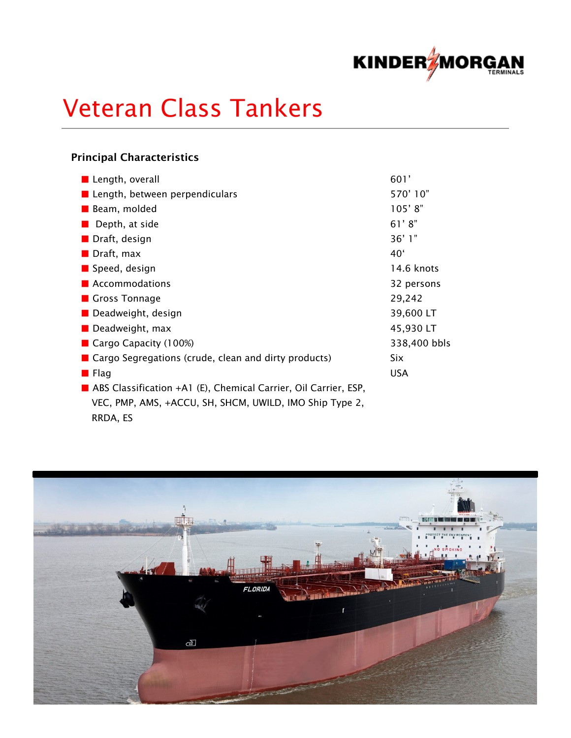

# Veteran Class Tankers

### Principal Characteristics

| Length, overall                                                 | 601'            |
|-----------------------------------------------------------------|-----------------|
| ■ Length, between perpendiculars                                | 570'10"         |
| <b>Beam</b> , molded                                            | 105'8"          |
| Depth, at side                                                  | 61'8"           |
| Draft, design                                                   | 36'1"           |
| $\blacksquare$ Draft, max                                       | 40 <sup>6</sup> |
| Speed, design                                                   | 14.6 knots      |
| Accommodations                                                  | 32 persons      |
| Gross Tonnage                                                   | 29,242          |
| Deadweight, design                                              | 39,600 LT       |
| $\blacksquare$ Deadweight, max                                  | 45,930 LT       |
| Cargo Capacity $(100%)$                                         | 338,400 bbls    |
| ■ Cargo Segregations (crude, clean and dirty products)          | <b>Six</b>      |
| <b>E</b> Flag                                                   | <b>USA</b>      |
| ABS Classification +A1 (E), Chemical Carrier, Oil Carrier, ESP, |                 |
| VEC, PMP, AMS, +ACCU, SH, SHCM, UWILD, IMO Ship Type 2,         |                 |
| RRDA, ES                                                        |                 |